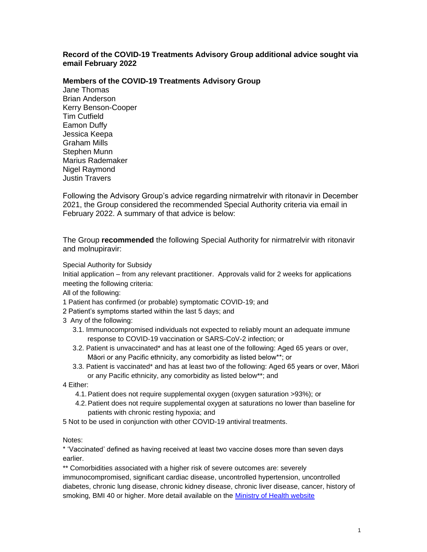## **Record of the COVID-19 Treatments Advisory Group additional advice sought via email February 2022**

## **Members of the COVID-19 Treatments Advisory Group**

Jane Thomas Brian Anderson Kerry Benson-Cooper Tim Cutfield Eamon Duffy Jessica Keepa Graham Mills Stephen Munn Marius Rademaker Nigel Raymond Justin Travers

Following the Advisory Group's advice regarding nirmatrelvir with ritonavir in December 2021, the Group considered the recommended Special Authority criteria via email in February 2022. A summary of that advice is below:

The Group **recommended** the following Special Authority for nirmatrelvir with ritonavir and molnupiravir:

Special Authority for Subsidy

Initial application – from any relevant practitioner. Approvals valid for 2 weeks for applications meeting the following criteria:

All of the following:

- 1 Patient has confirmed (or probable) symptomatic COVID-19; and
- 2 Patient's symptoms started within the last 5 days; and
- 3 Any of the following:
	- 3.1. Immunocompromised individuals not expected to reliably mount an adequate immune response to COVID-19 vaccination or SARS-CoV-2 infection; or
	- 3.2. Patient is unvaccinated\* and has at least one of the following: Aged 65 years or over, Māori or any Pacific ethnicity, any comorbidity as listed below\*\*; or
	- 3.3. Patient is vaccinated\* and has at least two of the following: Aged 65 years or over, Māori or any Pacific ethnicity, any comorbidity as listed below\*\*; and

4 Either:

- 4.1.Patient does not require supplemental oxygen (oxygen saturation >93%); or
- 4.2.Patient does not require supplemental oxygen at saturations no lower than baseline for patients with chronic resting hypoxia; and
- 5 Not to be used in conjunction with other COVID-19 antiviral treatments.

## Notes:

\* 'Vaccinated' defined as having received at least two vaccine doses more than seven days earlier.

\*\* Comorbidities associated with a higher risk of severe outcomes are: severely immunocompromised, significant cardiac disease, uncontrolled hypertension, uncontrolled diabetes, chronic lung disease, chronic kidney disease, chronic liver disease, cancer, history of smoking, BMI 40 or higher. More detail available on the [Ministry of Health website](https://www.health.govt.nz/our-work/diseases-and-conditions/covid-19-novel-coronavirus/covid-19-information-specific-audiences/covid-19-higher-risk-people)